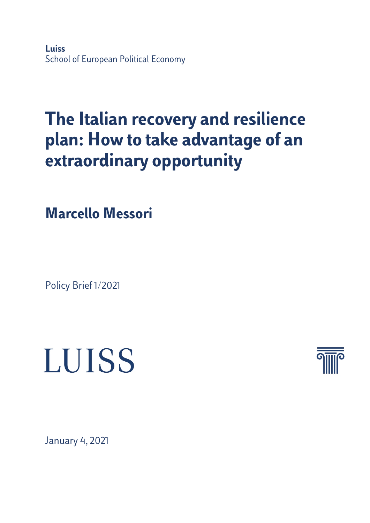**Luiss** School of European Political Economy

## **The Italian recovery and resilience plan: How to take advantage of an extraordinary opportunity**

**Marcello Messori**

Policy Brief 1/2021

# **LUISS**



January 4, 2021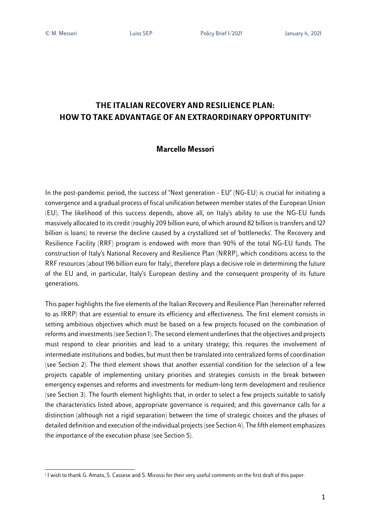### **THE ITALIAN RECOVERY AND RESILIENCE PLAN: HOW TO TAKE ADVANTAGE OF AN EXTRAORDINARY OPPORTUNITY1**

#### **Marcello Messori**

In the post-pandemic period, the success of "Next generation - EU" (NG-EU) is crucial for initiating a convergence and a gradual process of fiscal unification between member states of the European Union (EU). The likelihood of this success depends, above all, on Italy's ability to use the NG-EU funds massively allocated to its credit (roughly 209 billion euro, of which around 82 billion istransfers and 127 billion is loans) to reverse the decline caused by a crystallized set of 'bottlenecks'. The Recovery and Resilience Facility (RRF) program is endowed with more than 90% of the total NG-EU funds. The construction of Italy's National Recovery and Resilience Plan (NRRP), which conditions access to the RRF resources (about 196 billion euro for Italy), therefore plays a decisive role in determining the future of the EU and, in particular, Italy's European destiny and the consequent prosperity of its future generations.

This paper highlights the five elements of the Italian Recovery and Resilience Plan (hereinafter referred to as IRRP) that are essential to ensure its efficiency and effectiveness. The first element consists in setting ambitious objectives which must be based on a few projects focused on the combination of reforms and investments (see Section 1). The second element underlines that the objectives and projects must respond to clear priorities and lead to a unitary strategy; this requires the involvement of intermediate institutions and bodies, but must then be translated into centralized forms of coordination (see Section 2). The third element shows that another essential condition for the selection of a few projects capable of implementing unitary priorities and strategies consists in the break between emergency expenses and reforms and investments for medium-long term development and resilience (see Section 3). The fourth element highlights that, in order to select a few projects suitable to satisfy the characteristics listed above, appropriate governance is required; and this governance calls for a distinction (although not a rigid separation) between the time of strategic choices and the phases of detailed definition and execution of the individual projects (see Section 4). The fifth element emphasizes the importance of the execution phase (see Section 5).

<sup>&</sup>lt;sup>1</sup> I wish to thank G. Amato, S. Cassese and S. Micossi for their very useful comments on the first draft of this paper.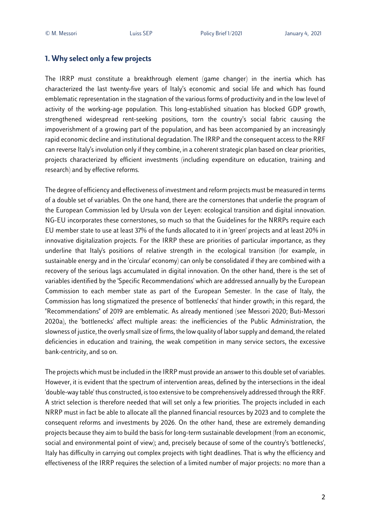#### **1. Why select only a few projects**

The IRRP must constitute a breakthrough element (game changer) in the inertia which has characterized the last twenty-five years of Italy's economic and social life and which has found emblematic representation in the stagnation of the various forms of productivity and in the low level of activity of the working-age population. This long-established situation has blocked GDP growth, strengthened widespread rent-seeking positions, torn the country's social fabric causing the impoverishment of a growing part of the population, and has been accompanied by an increasingly rapid economic decline and institutional degradation. The IRRP and the consequent access to the RRF can reverse Italy's involution only if they combine, in a coherent strategic plan based on clear priorities, projects characterized by efficient investments (including expenditure on education, training and research) and by effective reforms.

The degree of efficiency and effectiveness of investment and reform projects must be measured in terms of a double set of variables. On the one hand, there are the cornerstones that underlie the program of the European Commission led by Ursula von der Leyen: ecological transition and digital innovation. NG-EU incorporates these cornerstones, so much so that the Guidelines for the NRRPs require each EU member state to use at least 37% of the funds allocated to it in 'green' projects and at least 20% in innovative digitalization projects. For the IRRP these are priorities of particular importance, as they underline that Italy's positions of relative strength in the ecological transition (for example, in sustainable energy and in the 'circular' economy) can only be consolidated if they are combined with a recovery of the serious lags accumulated in digital innovation. On the other hand, there is the set of variables identified by the 'Specific Recommendations' which are addressed annually by the European Commission to each member state as part of the European Semester. In the case of Italy, the Commission has long stigmatized the presence of 'bottlenecks' that hinder growth; in this regard, the "Recommendations" of 2019 are emblematic. As already mentioned (see Messori 2020; Buti-Messori 2020a), the 'bottlenecks' affect multiple areas: the inefficiencies of the Public Administration, the slowness of justice, the overly small size of firms, the low quality of labor supply and demand, the related deficiencies in education and training, the weak competition in many service sectors, the excessive bank-centricity, and so on.

The projects which must be included in the IRRP must provide an answer to this double set of variables. However, it is evident that the spectrum of intervention areas, defined by the intersections in the ideal 'double-way table' thus constructed, is too extensive to be comprehensively addressed through the RRF. A strict selection is therefore needed that will set only a few priorities. The projects included in each NRRP must in fact be able to allocate all the planned financial resources by 2023 and to complete the consequent reforms and investments by 2026. On the other hand, these are extremely demanding projects because they aim to build the basis for long-term sustainable development (from an economic, social and environmental point of view); and, precisely because of some of the country's 'bottlenecks', Italy has difficulty in carrying out complex projects with tight deadlines. That is why the efficiency and effectiveness of the IRRP requires the selection of a limited number of major projects: no more than a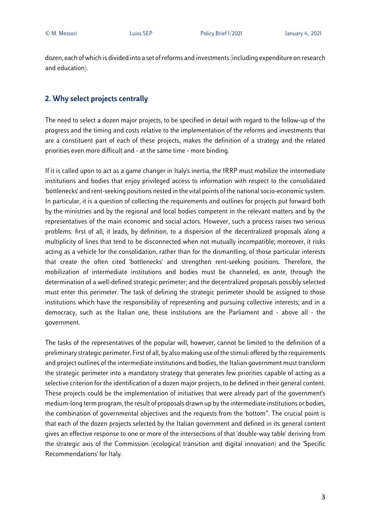dozen, each of which is divided into a set of reforms and investments (including expenditure on research and education).

#### **2. Why select projects centrally**

The need to select a dozen major projects, to be specified in detail with regard to the follow-up of the progress and the timing and costs relative to the implementation of the reforms and investments that are a constituent part of each of these projects, makes the definition of a strategy and the related priorities even more difficult and - at the same time - more binding.

If it is called upon to act as a game changer in Italy's inertia, the IRRP must mobilize the intermediate institutions and bodies that enjoy privileged access to information with respect to the consolidated 'bottlenecks' and rent-seeking positions nested in the vital points of the national socio-economic system. In particular, it is a question of collecting the requirements and outlines for projects put forward both by the ministries and by the regional and local bodies competent in the relevant matters and by the representatives of the main economic and social actors. However, such a process raises two serious problems: first of all, it leads, by definition, to a dispersion of the decentralized proposals along a multiplicity of lines that tend to be disconnected when not mutually incompatible; moreover, it risks acting as a vehicle for the consolidation, rather than for the dismantling, of those particular interests that create the often cited 'bottlenecks' and strengthen rent-seeking positions. Therefore, the mobilization of intermediate institutions and bodies must be channeled, *ex ante*, through the determination of a well-defined strategic perimeter; and the decentralized proposals possibly selected must enter this perimeter. The task of defining the strategic perimeter should be assigned to those institutions which have the responsibility of representing and pursuing collective interests; and in a democracy, such as the Italian one, these institutions are the Parliament and - above all - the government.

The tasks of the representatives of the popular will, however, cannot be limited to the definition of a preliminary strategic perimeter. First of all, by also making use of the stimuli offered by the requirements and project outlines of the intermediate institutions and bodies, the Italian government must transform the strategic perimeter into a mandatory strategy that generates few priorities capable of acting as a selective criterion for the identification of a dozen major projects, to be defined in their general content. These projects could be the implementation of initiatives that were already part of the government's medium-long term program, the result of proposals drawn up by the intermediate institutions or bodies, the combination of governmental objectives and the requests from the 'bottom". The crucial point is that each of the dozen projects selected by the Italian government and defined in its general content gives an effective response to one or more of the intersections of that 'double-way table' deriving from the strategic axis of the Commission (ecological transition and digital innovation) and the 'Specific Recommendations' for Italy.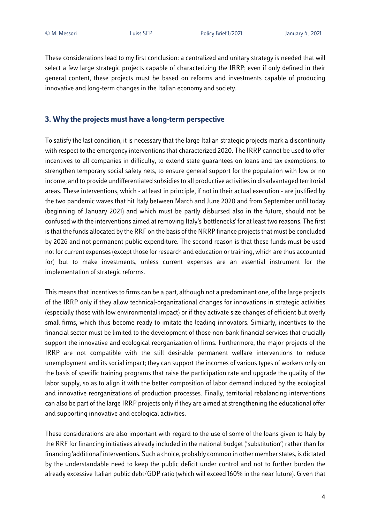These considerations lead to my first conclusion: a centralized and unitary strategy is needed that will select a few large strategic projects capable of characterizing the IRRP; even if only defined in their general content, these projects must be based on reforms and investments capable of producing innovative and long-term changes in the Italian economy and society.

#### **3. Why the projects must have a long-term perspective**

To satisfy the last condition, it is necessary that the large Italian strategic projects mark a discontinuity with respect to the emergency interventions that characterized 2020. The IRRP cannot be used to offer incentives to all companies in difficulty, to extend state guarantees on loans and tax exemptions, to strengthen temporary social safety nets, to ensure general support for the population with low or no income, and to provide undifferentiated subsidies to all productive activities in disadvantaged territorial areas. These interventions, which - at least in principle, if not in their actual execution - are justified by the two pandemic waves that hit Italy between March and June 2020 and from September until today (beginning of January 2021) and which must be partly disbursed also in the future, should not be confused with the interventions aimed at removing Italy's'bottlenecks' for at least two reasons. The first is that the funds allocated by the RRF on the basis of the NRRP finance projects that must be concluded by 2026 and not permanent public expenditure. The second reason is that these funds must be used not for current expenses (except those for research and education or training, which are thus accounted for) but to make investments, unless current expenses are an essential instrument for the implementation of strategic reforms.

This means that incentives to firmscan be a part, although not a predominant one, of the large projects of the IRRP only if they allow technical-organizational changes for innovations in strategic activities (especially those with low environmental impact) or if they activate size changes of efficient but overly small firms, which thus become ready to imitate the leading innovators. Similarly, incentives to the financial sector must be limited to the development of those non-bank financial services that crucially support the innovative and ecological reorganization of firms. Furthermore, the major projects of the IRRP are not compatible with the still desirable permanent welfare interventions to reduce unemployment and its social impact; they can support the incomes of various types of workers only on the basis of specific training programs that raise the participation rate and upgrade the quality of the labor supply, so as to align it with the better composition of labor demand induced by the ecological and innovative reorganizations of production processes. Finally, territorial rebalancing interventions can also be part of the large IRRP projects only if they are aimed at strengthening the educational offer and supporting innovative and ecological activities.

These considerations are also important with regard to the use of some of the loans given to Italy by the RRF for financing initiatives already included in the national budget ('substitution') rather than for financing 'additional' interventions. Such a choice, probably common in other member states, is dictated by the understandable need to keep the public deficit under control and not to further burden the already excessive Italian public debt/GDP ratio (which will exceed 160% in the near future). Given that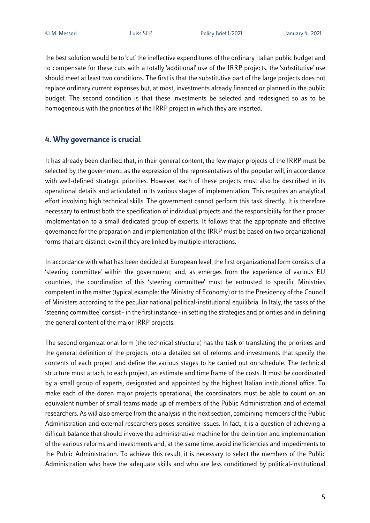the best solution would be to 'cut' the ineffective expenditures of the ordinary Italian public budget and to compensate for these cuts with a totally 'additional' use of the IRRP projects, the 'substitutive' use should meet at least two conditions. The first is that the substitutive part of the large projects does not replace ordinary current expenses but, at most, investments already financed or planned in the public budget. The second condition is that these investments be selected and redesigned so as to be homogeneous with the priorities of the IRRP project in which they are inserted.

#### **4. Why governance is crucial**

It has already been clarified that, in their general content, the few major projects of the IRRP must be selected by the government, as the expression of the representatives of the popular will, in accordance with well-defined strategic priorities. However, each of these projects must also be described in its operational details and articulated in its various stages of implementation. This requires an analytical effort involving high technical skills. The government cannot perform this task directly. It is therefore necessary to entrust both the specification of individual projects and the responsibility for their proper implementation to a small dedicated group of experts. It follows that the appropriate and effective governance for the preparation and implementation of the IRRP must be based on two organizational forms that are distinct, even if they are linked by multiple interactions.

In accordance with what has been decided at European level, the first organizational form consists of a 'steering committee' within the government; and, as emerges from the experience of various EU countries, the coordination of this 'steering committee' must be entrusted to specific Ministries competent in the matter (typical example: the Ministry of Economy) or to the Presidency of the Council of Ministers according to the peculiar national political-institutional equilibria. In Italy, the tasks of the 'steering committee' consist - in the first instance - in setting the strategies and priorities and in defining the general content of the major IRRP projects.

The second organizational form (the technical structure) has the task of translating the priorities and the general definition of the projects into a detailed set of reforms and investments that specify the contents of each project and define the various stages to be carried out on schedule. The technical structure must attach, to each project, an estimate and time frame of the costs. It must be coordinated by a small group of experts, designated and appointed by the highest Italian institutional office. To make each of the dozen major projects operational, the coordinators must be able to count on an equivalent number of small teams made up of members of the Public Administration and of external researchers. As will also emerge from the analysis in the next section, combining members of the Public Administration and external researchers poses sensitive issues. In fact, it is a question of achieving a difficult balance that should involve the administrative machine for the definition and implementation of the various reforms and investments and, at the same time, avoid inefficiencies and impediments to the Public Administration. To achieve this result, it is necessary to select the members of the Public Administration who have the adequate skills and who are less conditioned by political-institutional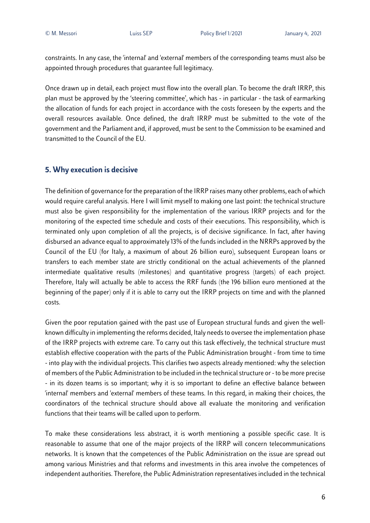constraints. In any case, the 'internal' and 'external' members of the corresponding teams must also be appointed through procedures that guarantee full legitimacy.

Once drawn up in detail, each project must flow into the overall plan. To become the draft IRRP, this plan must be approved by the 'steering committee', which has - in particular - the task of earmarking the allocation of funds for each project in accordance with the costs foreseen by the experts and the overall resources available. Once defined, the draft IRRP must be submitted to the vote of the government and the Parliament and, if approved, must be sent to the Commission to be examined and transmitted to the Council of the EU.

#### **5. Why execution is decisive**

The definition of governance for the preparation of the IRRP raises many other problems, each of which would require careful analysis. Here I will limit myself to making one last point: the technical structure must also be given responsibility for the implementation of the various IRRP projects and for the monitoring of the expected time schedule and costs of their executions. This responsibility, which is terminated only upon completion of all the projects, is of decisive significance. In fact, after having disbursed an advance equal to approximately 13% of the fundsincluded in the NRRPs approved by the Council of the EU (for Italy, a maximum of about 26 billion euro), subsequent European loans or transfers to each member state are strictly conditional on the actual achievements of the planned intermediate qualitative results (milestones) and quantitative progress (targets) of each project. Therefore, Italy will actually be able to access the RRF funds (the 196 billion euro mentioned at the beginning of the paper) only if it is able to carry out the IRRP projects on time and with the planned costs.

Given the poor reputation gained with the past use of European structural funds and given the wellknown difficulty in implementing the reforms decided, Italy needs to oversee the implementation phase of the IRRP projects with extreme care. To carry out this task effectively, the technical structure must establish effective cooperation with the parts of the Public Administration brought - from time to time - into play with the individual projects. This clarifies two aspects already mentioned: why the selection of members of the Public Administration to be included in the technical structure or - to be more precise - in its dozen teams is so important; why it is so important to define an effective balance between 'internal' members and 'external' members of these teams. In this regard, in making their choices, the coordinators of the technical structure should above all evaluate the monitoring and verification functions that their teams will be called upon to perform.

To make these considerations less abstract, it is worth mentioning a possible specific case. It is reasonable to assume that one of the major projects of the IRRP will concern telecommunications networks. It is known that the competences of the Public Administration on the issue are spread out among various Ministries and that reforms and investments in this area involve the competences of independent authorities. Therefore, the Public Administration representatives included in the technical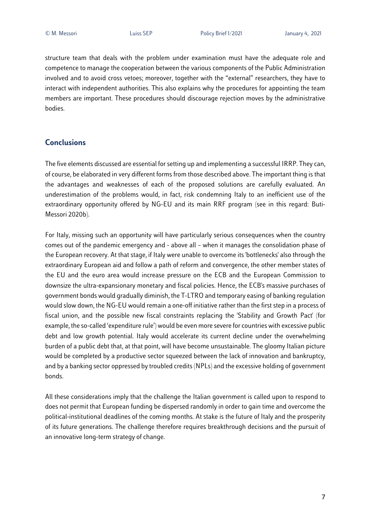structure team that deals with the problem under examination must have the adequate role and competence to manage the cooperation between the various components of the Public Administration involved and to avoid cross vetoes; moreover, together with the "external" researchers, they have to interact with independent authorities. This also explains why the procedures for appointing the team members are important. These procedures should discourage rejection moves by the administrative bodies.

#### **Conclusions**

The five elements discussed are essential for setting up and implementing a successful IRRP. They can, of course, be elaborated in very different forms from those described above. The important thing is that the advantages and weaknesses of each of the proposed solutions are carefully evaluated. An underestimation of the problems would, in fact, risk condemning Italy to an inefficient use of the extraordinary opportunity offered by NG-EU and its main RRF program (see in this regard: Buti-Messori 2020b).

For Italy, missing such an opportunity will have particularly serious consequences when the country comes out of the pandemic emergency and - above all – when it manages the consolidation phase of the European recovery. At that stage, if Italy were unable to overcome its 'bottlenecks' also through the extraordinary European aid and follow a path of reform and convergence, the other member states of the EU and the euro area would increase pressure on the ECB and the European Commission to downsize the ultra-expansionary monetary and fiscal policies. Hence, the ECB's massive purchases of government bonds would gradually diminish, the T-LTRO and temporary easing of banking regulation would slow down, the NG-EU would remain a one-off initiative rather than the first step in a process of fiscal union, and the possible new fiscal constraints replacing the 'Stability and Growth Pact' (for example, the so-called 'expenditure rule') would be even more severe for countries with excessive public debt and low growth potential. Italy would accelerate its current decline under the overwhelming burden of a public debt that, at that point, will have become unsustainable. The gloomy Italian picture would be completed by a productive sector squeezed between the lack of innovation and bankruptcy, and by a banking sector oppressed by troubled credits (NPLs) and the excessive holding of government bonds.

All these considerations imply that the challenge the Italian government is called upon to respond to does not permit that European funding be dispersed randomly in order to gain time and overcome the political-institutional deadlines of the coming months. At stake is the future of Italy and the prosperity of its future generations. The challenge therefore requires breakthrough decisions and the pursuit of an innovative long-term strategy of change.